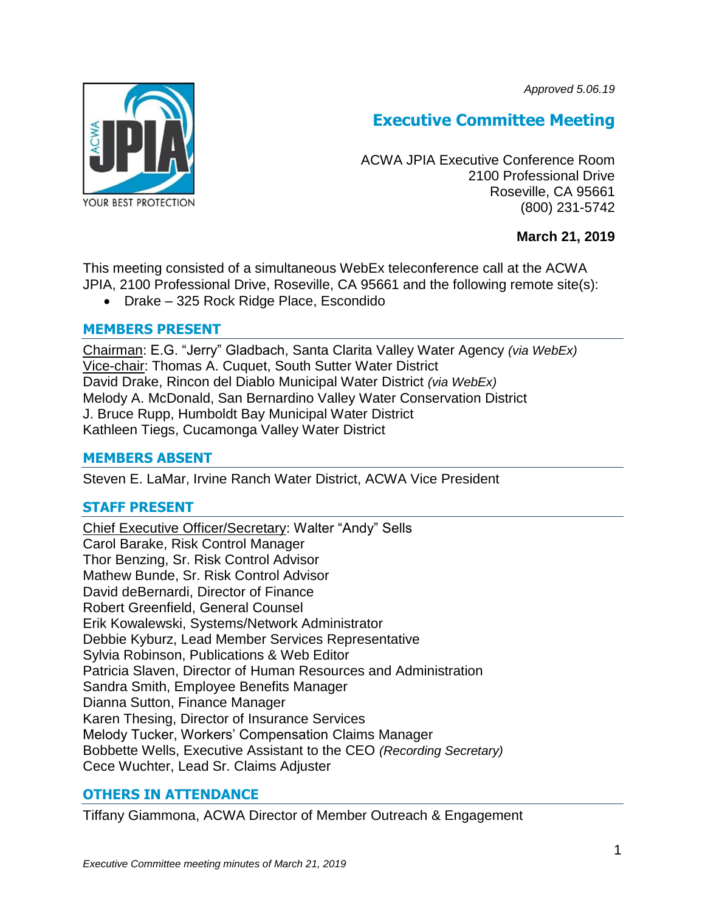*Approved 5.06.19*



# **Executive Committee Meeting**

ACWA JPIA Executive Conference Room 2100 Professional Drive Roseville, CA 95661 (800) 231-5742

# **March 21, 2019**

This meeting consisted of a simultaneous WebEx teleconference call at the ACWA JPIA, 2100 Professional Drive, Roseville, CA 95661 and the following remote site(s):

Drake – 325 Rock Ridge Place, Escondido

# **MEMBERS PRESENT**

Chairman: E.G. "Jerry" Gladbach, Santa Clarita Valley Water Agency *(via WebEx)* Vice-chair: Thomas A. Cuquet, South Sutter Water District David Drake, Rincon del Diablo Municipal Water District *(via WebEx)* Melody A. McDonald, San Bernardino Valley Water Conservation District J. Bruce Rupp, Humboldt Bay Municipal Water District Kathleen Tiegs, Cucamonga Valley Water District

# **MEMBERS ABSENT**

Steven E. LaMar, Irvine Ranch Water District, ACWA Vice President

# **STAFF PRESENT**

Chief Executive Officer/Secretary: Walter "Andy" Sells Carol Barake, Risk Control Manager Thor Benzing, Sr. Risk Control Advisor Mathew Bunde, Sr. Risk Control Advisor David deBernardi, Director of Finance Robert Greenfield, General Counsel Erik Kowalewski, Systems/Network Administrator Debbie Kyburz, Lead Member Services Representative Sylvia Robinson, Publications & Web Editor Patricia Slaven, Director of Human Resources and Administration Sandra Smith, Employee Benefits Manager Dianna Sutton, Finance Manager Karen Thesing, Director of Insurance Services Melody Tucker, Workers' Compensation Claims Manager Bobbette Wells, Executive Assistant to the CEO *(Recording Secretary)* Cece Wuchter, Lead Sr. Claims Adjuster

# **OTHERS IN ATTENDANCE**

Tiffany Giammona, ACWA Director of Member Outreach & Engagement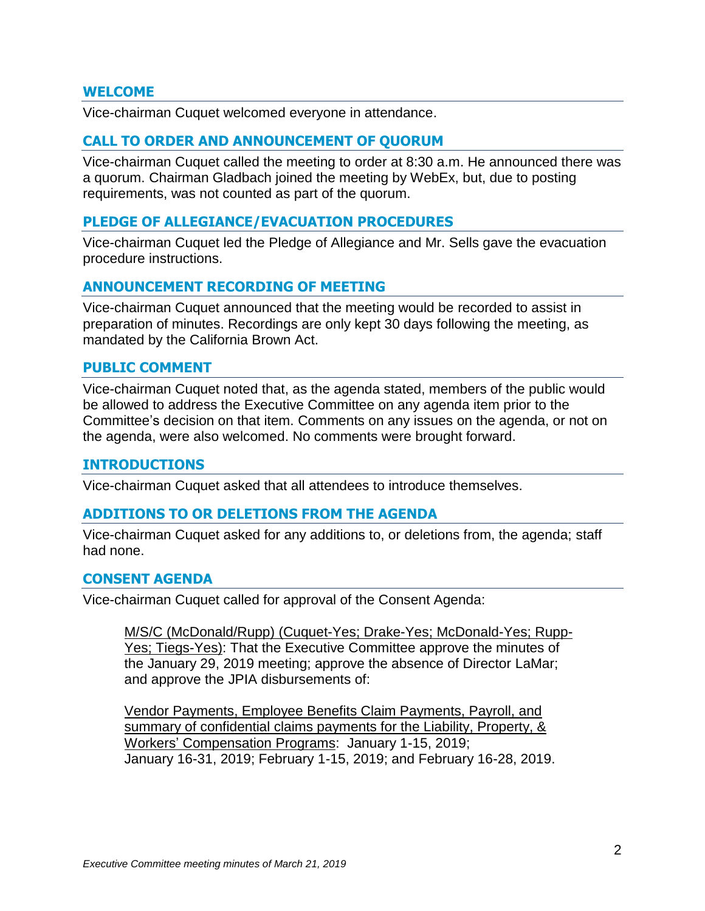## **WELCOME**

Vice-chairman Cuquet welcomed everyone in attendance.

## **CALL TO ORDER AND ANNOUNCEMENT OF QUORUM**

Vice-chairman Cuquet called the meeting to order at 8:30 a.m. He announced there was a quorum. Chairman Gladbach joined the meeting by WebEx, but, due to posting requirements, was not counted as part of the quorum.

#### **PLEDGE OF ALLEGIANCE/EVACUATION PROCEDURES**

Vice-chairman Cuquet led the Pledge of Allegiance and Mr. Sells gave the evacuation procedure instructions.

## **ANNOUNCEMENT RECORDING OF MEETING**

Vice-chairman Cuquet announced that the meeting would be recorded to assist in preparation of minutes. Recordings are only kept 30 days following the meeting, as mandated by the California Brown Act.

#### **PUBLIC COMMENT**

Vice-chairman Cuquet noted that, as the agenda stated, members of the public would be allowed to address the Executive Committee on any agenda item prior to the Committee's decision on that item. Comments on any issues on the agenda, or not on the agenda, were also welcomed. No comments were brought forward.

#### **INTRODUCTIONS**

Vice-chairman Cuquet asked that all attendees to introduce themselves.

#### **ADDITIONS TO OR DELETIONS FROM THE AGENDA**

Vice-chairman Cuquet asked for any additions to, or deletions from, the agenda; staff had none.

#### **CONSENT AGENDA**

Vice-chairman Cuquet called for approval of the Consent Agenda:

M/S/C (McDonald/Rupp) (Cuquet-Yes; Drake-Yes; McDonald-Yes; Rupp-Yes; Tiegs-Yes): That the Executive Committee approve the minutes of the January 29, 2019 meeting; approve the absence of Director LaMar; and approve the JPIA disbursements of:

Vendor Payments, Employee Benefits Claim Payments, Payroll, and summary of confidential claims payments for the Liability, Property, & Workers' Compensation Programs: January 1-15, 2019; January 16-31, 2019; February 1-15, 2019; and February 16-28, 2019.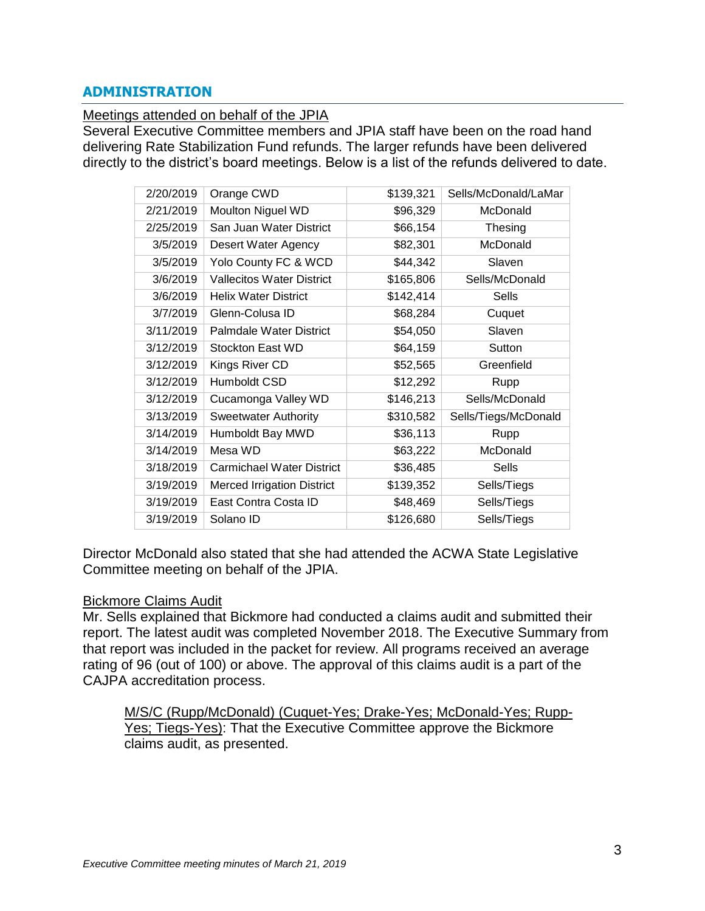# **ADMINISTRATION**

#### Meetings attended on behalf of the JPIA

Several Executive Committee members and JPIA staff have been on the road hand delivering Rate Stabilization Fund refunds. The larger refunds have been delivered directly to the district's board meetings. Below is a list of the refunds delivered to date.

| 2/20/2019 | Orange CWD                        | \$139,321 | Sells/McDonald/LaMar |
|-----------|-----------------------------------|-----------|----------------------|
| 2/21/2019 | Moulton Niguel WD                 | \$96,329  | McDonald             |
| 2/25/2019 | San Juan Water District           | \$66,154  | Thesing              |
| 3/5/2019  | Desert Water Agency               | \$82,301  | McDonald             |
| 3/5/2019  | Yolo County FC & WCD              | \$44,342  | Slaven               |
| 3/6/2019  | <b>Vallecitos Water District</b>  | \$165,806 | Sells/McDonald       |
| 3/6/2019  | <b>Helix Water District</b>       | \$142,414 | Sells                |
| 3/7/2019  | Glenn-Colusa ID                   | \$68,284  | Cuquet               |
| 3/11/2019 | Palmdale Water District           | \$54,050  | Slaven               |
| 3/12/2019 | Stockton East WD                  | \$64,159  | Sutton               |
| 3/12/2019 | Kings River CD                    | \$52,565  | Greenfield           |
| 3/12/2019 | Humboldt CSD                      | \$12,292  | Rupp                 |
| 3/12/2019 | Cucamonga Valley WD               | \$146,213 | Sells/McDonald       |
| 3/13/2019 | <b>Sweetwater Authority</b>       | \$310,582 | Sells/Tiegs/McDonald |
| 3/14/2019 | Humboldt Bay MWD                  | \$36,113  | Rupp                 |
| 3/14/2019 | Mesa WD                           | \$63,222  | McDonald             |
| 3/18/2019 | <b>Carmichael Water District</b>  | \$36,485  | Sells                |
| 3/19/2019 | <b>Merced Irrigation District</b> | \$139,352 | Sells/Tiegs          |
| 3/19/2019 | East Contra Costa ID              | \$48,469  | Sells/Tiegs          |
| 3/19/2019 | Solano ID                         | \$126,680 | Sells/Tiegs          |

Director McDonald also stated that she had attended the ACWA State Legislative Committee meeting on behalf of the JPIA.

#### Bickmore Claims Audit

Mr. Sells explained that Bickmore had conducted a claims audit and submitted their report. The latest audit was completed November 2018. The Executive Summary from that report was included in the packet for review. All programs received an average rating of 96 (out of 100) or above. The approval of this claims audit is a part of the CAJPA accreditation process.

M/S/C (Rupp/McDonald) (Cuquet-Yes; Drake-Yes; McDonald-Yes; Rupp-Yes; Tiegs-Yes): That the Executive Committee approve the Bickmore claims audit, as presented.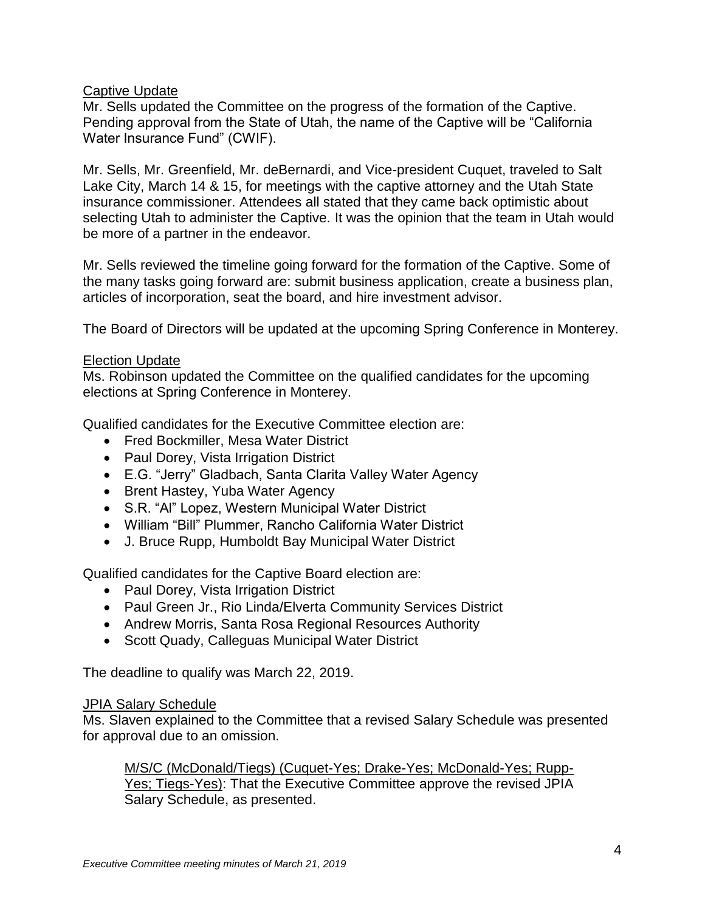# Captive Update

Mr. Sells updated the Committee on the progress of the formation of the Captive. Pending approval from the State of Utah, the name of the Captive will be "California Water Insurance Fund" (CWIF).

Mr. Sells, Mr. Greenfield, Mr. deBernardi, and Vice-president Cuquet, traveled to Salt Lake City, March 14 & 15, for meetings with the captive attorney and the Utah State insurance commissioner. Attendees all stated that they came back optimistic about selecting Utah to administer the Captive. It was the opinion that the team in Utah would be more of a partner in the endeavor.

Mr. Sells reviewed the timeline going forward for the formation of the Captive. Some of the many tasks going forward are: submit business application, create a business plan, articles of incorporation, seat the board, and hire investment advisor.

The Board of Directors will be updated at the upcoming Spring Conference in Monterey.

# Election Update

Ms. Robinson updated the Committee on the qualified candidates for the upcoming elections at Spring Conference in Monterey.

Qualified candidates for the Executive Committee election are:

- Fred Bockmiller, Mesa Water District
- Paul Dorey, Vista Irrigation District
- E.G. "Jerry" Gladbach, Santa Clarita Valley Water Agency
- Brent Hastey, Yuba Water Agency
- S.R. "Al" Lopez, Western Municipal Water District
- William "Bill" Plummer, Rancho California Water District
- J. Bruce Rupp, Humboldt Bay Municipal Water District

Qualified candidates for the Captive Board election are:

- Paul Dorey, Vista Irrigation District
- Paul Green Jr., Rio Linda/Elverta Community Services District
- Andrew Morris, Santa Rosa Regional Resources Authority
- Scott Quady, Calleguas Municipal Water District

The deadline to qualify was March 22, 2019.

## JPIA Salary Schedule

Ms. Slaven explained to the Committee that a revised Salary Schedule was presented for approval due to an omission.

M/S/C (McDonald/Tiegs) (Cuquet-Yes; Drake-Yes; McDonald-Yes; Rupp-Yes; Tiegs-Yes): That the Executive Committee approve the revised JPIA Salary Schedule, as presented.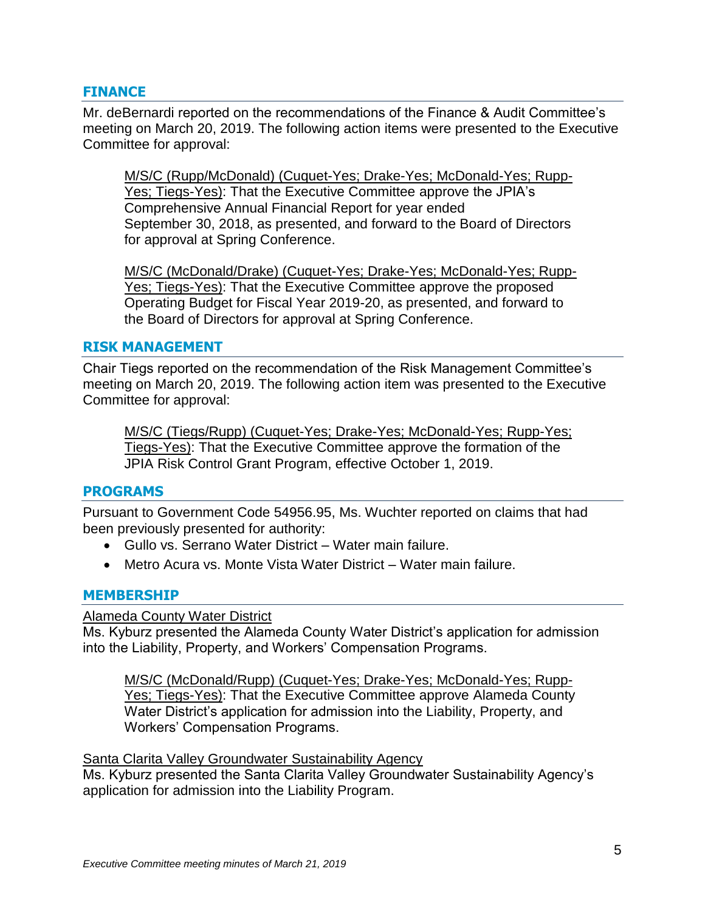## **FINANCE**

Mr. deBernardi reported on the recommendations of the Finance & Audit Committee's meeting on March 20, 2019. The following action items were presented to the Executive Committee for approval:

M/S/C (Rupp/McDonald) (Cuquet-Yes; Drake-Yes; McDonald-Yes; Rupp-Yes; Tiegs-Yes): That the Executive Committee approve the JPIA's Comprehensive Annual Financial Report for year ended September 30, 2018, as presented, and forward to the Board of Directors for approval at Spring Conference.

M/S/C (McDonald/Drake) (Cuquet-Yes; Drake-Yes; McDonald-Yes; Rupp-Yes; Tiegs-Yes): That the Executive Committee approve the proposed Operating Budget for Fiscal Year 2019-20, as presented, and forward to the Board of Directors for approval at Spring Conference.

#### **RISK MANAGEMENT**

Chair Tiegs reported on the recommendation of the Risk Management Committee's meeting on March 20, 2019. The following action item was presented to the Executive Committee for approval:

M/S/C (Tiegs/Rupp) (Cuquet-Yes; Drake-Yes; McDonald-Yes; Rupp-Yes; Tiegs-Yes): That the Executive Committee approve the formation of the JPIA Risk Control Grant Program, effective October 1, 2019.

#### **PROGRAMS**

Pursuant to Government Code 54956.95, Ms. Wuchter reported on claims that had been previously presented for authority:

- Gullo vs. Serrano Water District Water main failure.
- Metro Acura vs. Monte Vista Water District Water main failure.

#### **MEMBERSHIP**

#### Alameda County Water District

Ms. Kyburz presented the Alameda County Water District's application for admission into the Liability, Property, and Workers' Compensation Programs.

M/S/C (McDonald/Rupp) (Cuquet-Yes; Drake-Yes; McDonald-Yes; Rupp-Yes; Tiegs-Yes): That the Executive Committee approve Alameda County Water District's application for admission into the Liability, Property, and Workers' Compensation Programs.

#### Santa Clarita Valley Groundwater Sustainability Agency

Ms. Kyburz presented the Santa Clarita Valley Groundwater Sustainability Agency's application for admission into the Liability Program.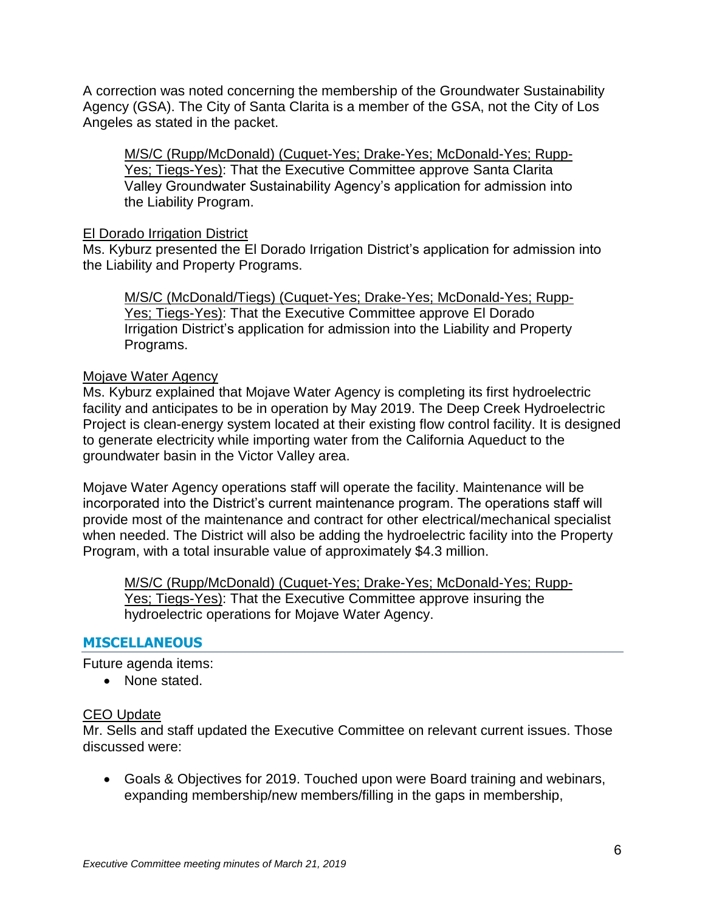A correction was noted concerning the membership of the Groundwater Sustainability Agency (GSA). The City of Santa Clarita is a member of the GSA, not the City of Los Angeles as stated in the packet.

M/S/C (Rupp/McDonald) (Cuquet-Yes; Drake-Yes; McDonald-Yes; Rupp-Yes; Tiegs-Yes): That the Executive Committee approve Santa Clarita Valley Groundwater Sustainability Agency's application for admission into the Liability Program.

## El Dorado Irrigation District

Ms. Kyburz presented the El Dorado Irrigation District's application for admission into the Liability and Property Programs.

M/S/C (McDonald/Tiegs) (Cuquet-Yes; Drake-Yes; McDonald-Yes; Rupp-Yes; Tiegs-Yes): That the Executive Committee approve El Dorado Irrigation District's application for admission into the Liability and Property Programs.

## Mojave Water Agency

Ms. Kyburz explained that Mojave Water Agency is completing its first hydroelectric facility and anticipates to be in operation by May 2019. The Deep Creek Hydroelectric Project is clean-energy system located at their existing flow control facility. It is designed to generate electricity while importing water from the California Aqueduct to the groundwater basin in the Victor Valley area.

Mojave Water Agency operations staff will operate the facility. Maintenance will be incorporated into the District's current maintenance program. The operations staff will provide most of the maintenance and contract for other electrical/mechanical specialist when needed. The District will also be adding the hydroelectric facility into the Property Program, with a total insurable value of approximately \$4.3 million.

M/S/C (Rupp/McDonald) (Cuquet-Yes; Drake-Yes; McDonald-Yes; Rupp-Yes; Tiegs-Yes): That the Executive Committee approve insuring the hydroelectric operations for Mojave Water Agency.

## **MISCELLANEOUS**

Future agenda items:

• None stated.

## CEO Update

Mr. Sells and staff updated the Executive Committee on relevant current issues. Those discussed were:

 Goals & Objectives for 2019. Touched upon were Board training and webinars, expanding membership/new members/filling in the gaps in membership,